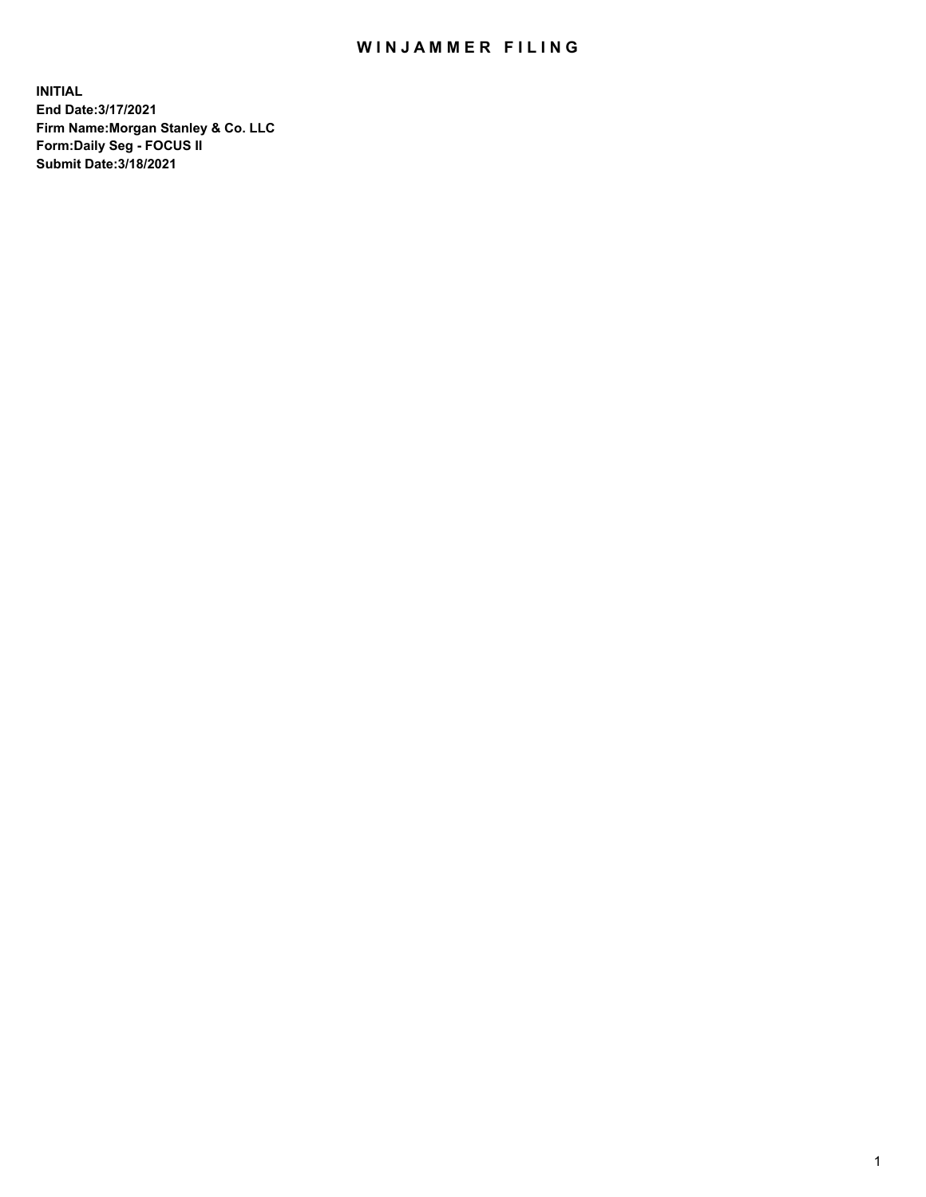## WIN JAMMER FILING

**INITIAL End Date:3/17/2021 Firm Name:Morgan Stanley & Co. LLC Form:Daily Seg - FOCUS II Submit Date:3/18/2021**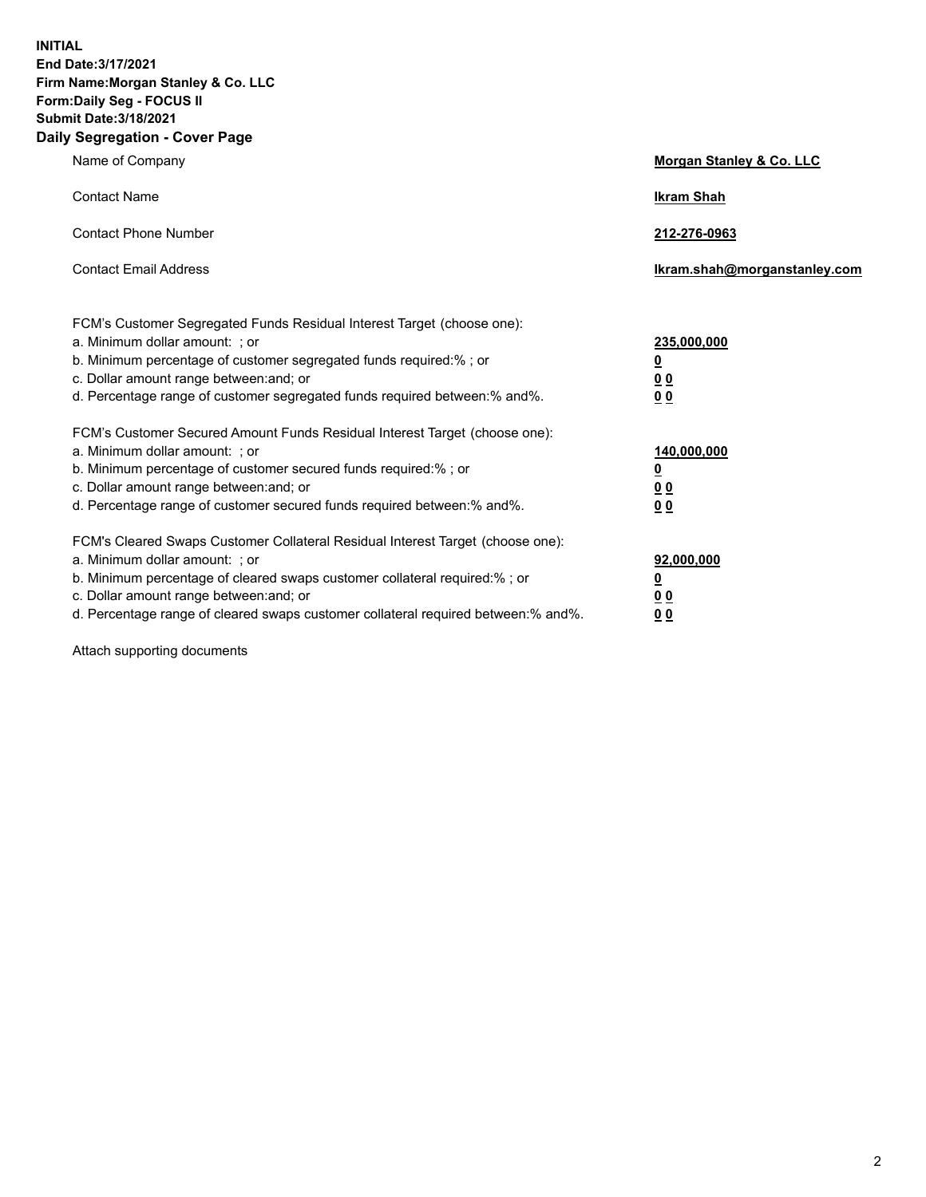**INITIAL End Date:3/17/2021 Firm Name:Morgan Stanley & Co. LLC Form:Daily Seg - FOCUS II Submit Date:3/18/2021 Daily Segregation - Cover Page**

| Name of Company                                                                                                                                                                                                                                                                                                                | <b>Morgan Stanley &amp; Co. LLC</b>                    |
|--------------------------------------------------------------------------------------------------------------------------------------------------------------------------------------------------------------------------------------------------------------------------------------------------------------------------------|--------------------------------------------------------|
| <b>Contact Name</b>                                                                                                                                                                                                                                                                                                            | <b>Ikram Shah</b>                                      |
| <b>Contact Phone Number</b>                                                                                                                                                                                                                                                                                                    | 212-276-0963                                           |
| <b>Contact Email Address</b>                                                                                                                                                                                                                                                                                                   | Ikram.shah@morganstanley.com                           |
| FCM's Customer Segregated Funds Residual Interest Target (choose one):<br>a. Minimum dollar amount: : or<br>b. Minimum percentage of customer segregated funds required:%; or<br>c. Dollar amount range between: and; or<br>d. Percentage range of customer segregated funds required between:% and%.                          | 235,000,000<br><u>0</u><br><u>00</u><br><u>00</u>      |
| FCM's Customer Secured Amount Funds Residual Interest Target (choose one):<br>a. Minimum dollar amount: ; or<br>b. Minimum percentage of customer secured funds required:%; or<br>c. Dollar amount range between: and; or<br>d. Percentage range of customer secured funds required between:% and%.                            | 140,000,000<br><u>0</u><br><u>00</u><br>0 <sub>0</sub> |
| FCM's Cleared Swaps Customer Collateral Residual Interest Target (choose one):<br>a. Minimum dollar amount: ; or<br>b. Minimum percentage of cleared swaps customer collateral required:% ; or<br>c. Dollar amount range between: and; or<br>d. Percentage range of cleared swaps customer collateral required between:% and%. | 92,000,000<br><u>0</u><br><u>00</u><br>00              |

Attach supporting documents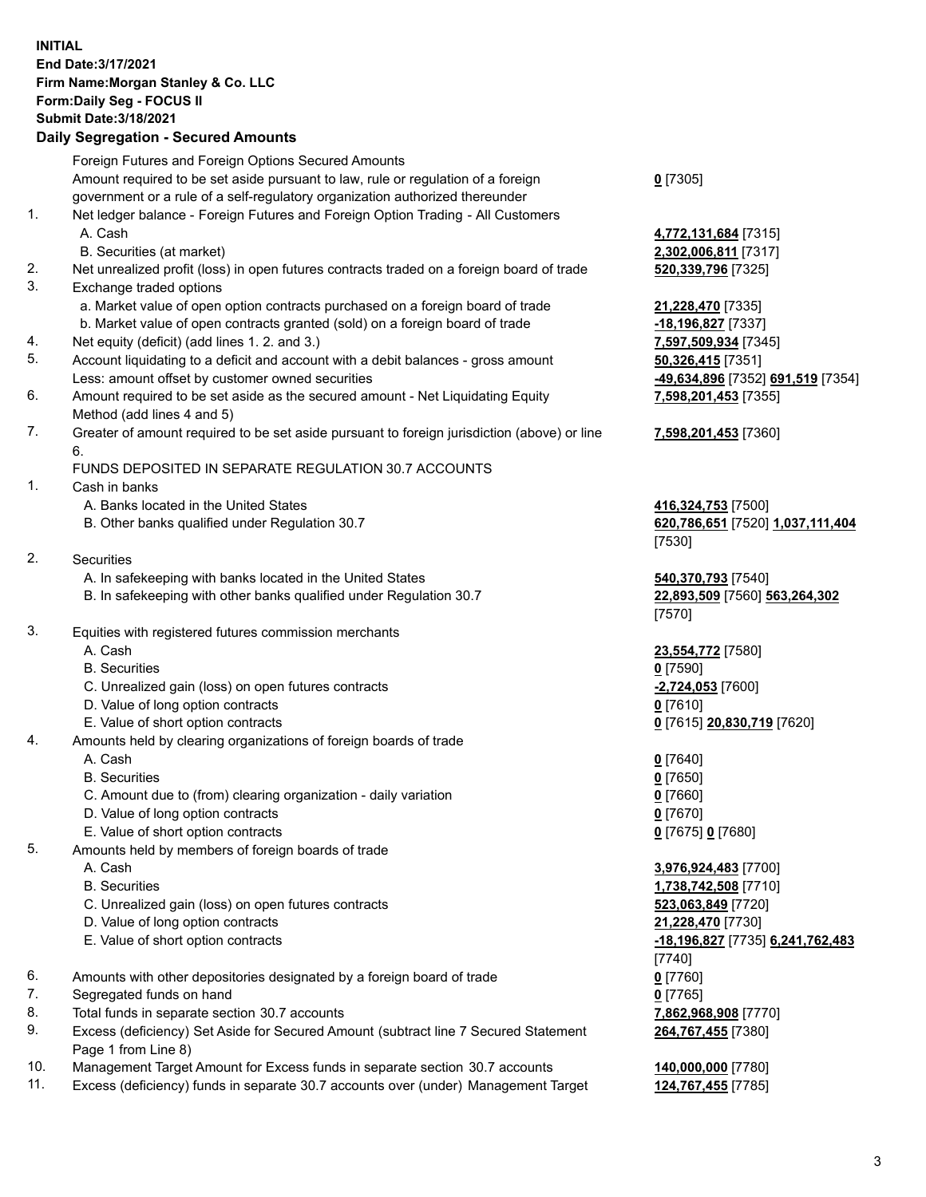## **INITIAL End Date:3/17/2021 Firm Name:Morgan Stanley & Co. LLC Form:Daily Seg - FOCUS II Submit Date:3/18/2021**

## **Daily Segregation - Secured Amounts**

Foreign Futures and Foreign Options Secured Amounts Amount required to be set aside pursuant to law, rule or regulation of a foreign government or a rule of a self-regulatory organization authorized thereunder **0** [7305] 1. Net ledger balance - Foreign Futures and Foreign Option Trading - All Customers A. Cash **4,772,131,684** [7315] B. Securities (at market) **2,302,006,811** [7317] 2. Net unrealized profit (loss) in open futures contracts traded on a foreign board of trade **520,339,796** [7325] 3. Exchange traded options a. Market value of open option contracts purchased on a foreign board of trade **21,228,470** [7335] b. Market value of open contracts granted (sold) on a foreign board of trade **-18,196,827** [7337] 4. Net equity (deficit) (add lines 1. 2. and 3.) **7,597,509,934** [7345] 5. Account liquidating to a deficit and account with a debit balances - gross amount **50,326,415** [7351] Less: amount offset by customer owned securities **-49,634,896** [7352] **691,519** [7354] 6. Amount required to be set aside as the secured amount - Net Liquidating Equity Method (add lines 4 and 5) 7. Greater of amount required to be set aside pursuant to foreign jurisdiction (above) or line 6. FUNDS DEPOSITED IN SEPARATE REGULATION 30.7 ACCOUNTS 1. Cash in banks A. Banks located in the United States **416,324,753** [7500] B. Other banks qualified under Regulation 30.7 **620,786,651** [7520] **1,037,111,404** [7530] 2. Securities A. In safekeeping with banks located in the United States **540,370,793** [7540] B. In safekeeping with other banks qualified under Regulation 30.7 **22,893,509** [7560] **563,264,302** [7570] 3. Equities with registered futures commission merchants A. Cash **23,554,772** [7580] B. Securities **0** [7590] C. Unrealized gain (loss) on open futures contracts **-2,724,053** [7600] D. Value of long option contracts **0** [7610] E. Value of short option contracts **0** [7615] **20,830,719** [7620] 4. Amounts held by clearing organizations of foreign boards of trade A. Cash **0** [7640] B. Securities **0** [7650] C. Amount due to (from) clearing organization - daily variation **0** [7660] D. Value of long option contracts **0** [7670] E. Value of short option contracts **0** [7675] **0** [7680] 5. Amounts held by members of foreign boards of trade A. Cash **3,976,924,483** [7700] B. Securities **1,738,742,508** [7710] C. Unrealized gain (loss) on open futures contracts **523,063,849** [7720] D. Value of long option contracts **21,228,470** [7730] E. Value of short option contracts **-18,196,827** [7735] **6,241,762,483** [7740] 6. Amounts with other depositories designated by a foreign board of trade **0** [7760] 7. Segregated funds on hand **0** [7765] 8. Total funds in separate section 30.7 accounts **7,862,968,908** [7770] 9. Excess (deficiency) Set Aside for Secured Amount (subtract line 7 Secured Statement Page 1 from Line 8)

- 10. Management Target Amount for Excess funds in separate section 30.7 accounts **140,000,000** [7780]
- 11. Excess (deficiency) funds in separate 30.7 accounts over (under) Management Target **124,767,455** [7785]

**7,598,201,453** [7355]

## **7,598,201,453** [7360]

**264,767,455** [7380]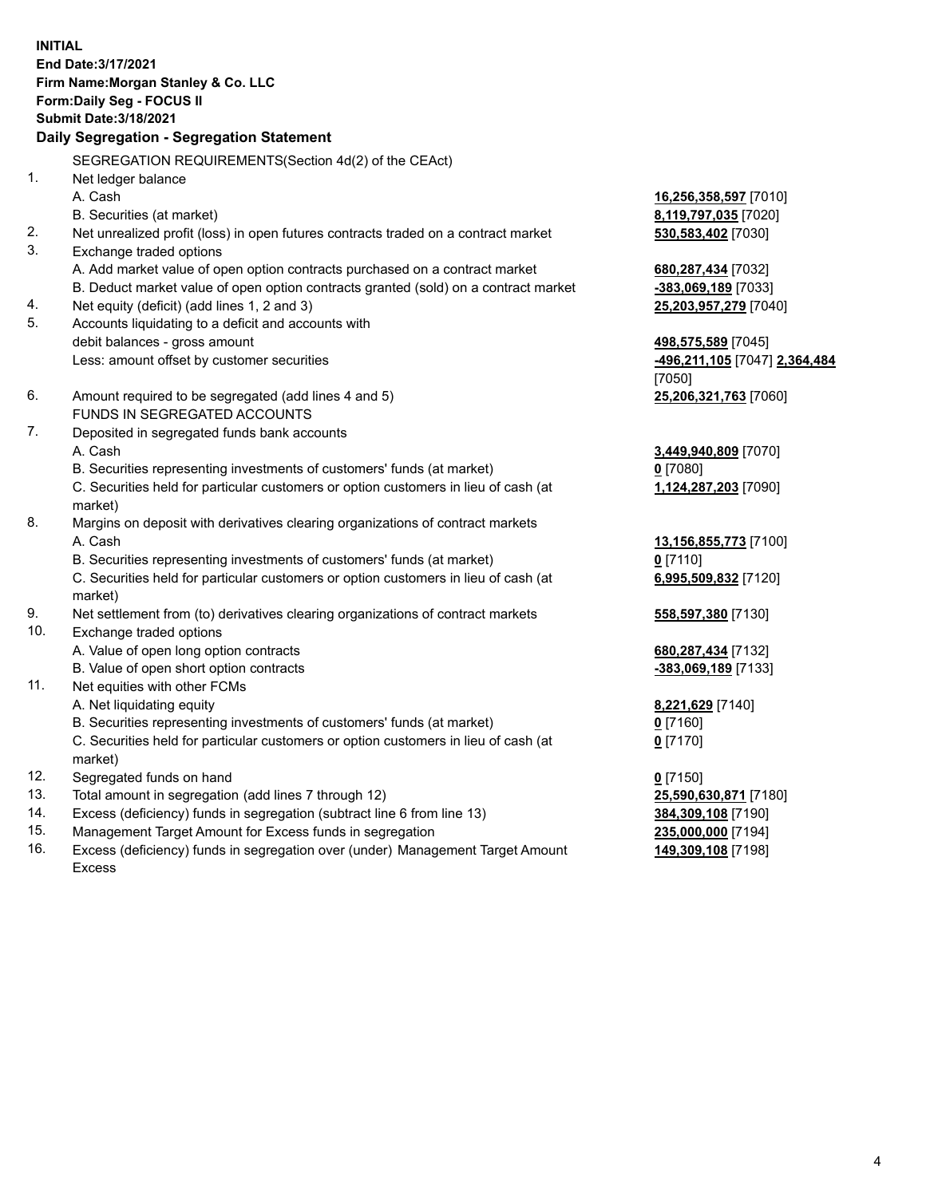**INITIAL End Date:3/17/2021 Firm Name:Morgan Stanley & Co. LLC Form:Daily Seg - FOCUS II Submit Date:3/18/2021 Daily Segregation - Segregation Statement** SEGREGATION REQUIREMENTS(Section 4d(2) of the CEAct) 1. Net ledger balance A. Cash **16,256,358,597** [7010] B. Securities (at market) **8,119,797,035** [7020] 2. Net unrealized profit (loss) in open futures contracts traded on a contract market **530,583,402** [7030] 3. Exchange traded options A. Add market value of open option contracts purchased on a contract market **680,287,434** [7032] B. Deduct market value of open option contracts granted (sold) on a contract market **-383,069,189** [7033] 4. Net equity (deficit) (add lines 1, 2 and 3) **25,203,957,279** [7040] 5. Accounts liquidating to a deficit and accounts with debit balances - gross amount **498,575,589** [7045] Less: amount offset by customer securities **-496,211,105** [7047] **2,364,484** [7050] 6. Amount required to be segregated (add lines 4 and 5) **25,206,321,763** [7060] FUNDS IN SEGREGATED ACCOUNTS 7. Deposited in segregated funds bank accounts A. Cash **3,449,940,809** [7070] B. Securities representing investments of customers' funds (at market) **0** [7080] C. Securities held for particular customers or option customers in lieu of cash (at market) **1,124,287,203** [7090] 8. Margins on deposit with derivatives clearing organizations of contract markets A. Cash **13,156,855,773** [7100] B. Securities representing investments of customers' funds (at market) **0** [7110] C. Securities held for particular customers or option customers in lieu of cash (at market) **6,995,509,832** [7120] 9. Net settlement from (to) derivatives clearing organizations of contract markets **558,597,380** [7130] 10. Exchange traded options A. Value of open long option contracts **680,287,434** [7132] B. Value of open short option contracts **-383,069,189** [7133] 11. Net equities with other FCMs A. Net liquidating equity **8,221,629** [7140] B. Securities representing investments of customers' funds (at market) **0** [7160] C. Securities held for particular customers or option customers in lieu of cash (at market) **0** [7170] 12. Segregated funds on hand **0** [7150] 13. Total amount in segregation (add lines 7 through 12) **25,590,630,871** [7180] 14. Excess (deficiency) funds in segregation (subtract line 6 from line 13) **384,309,108** [7190] 15. Management Target Amount for Excess funds in segregation **235,000,000** [7194]

16. Excess (deficiency) funds in segregation over (under) Management Target Amount Excess

**149,309,108** [7198]